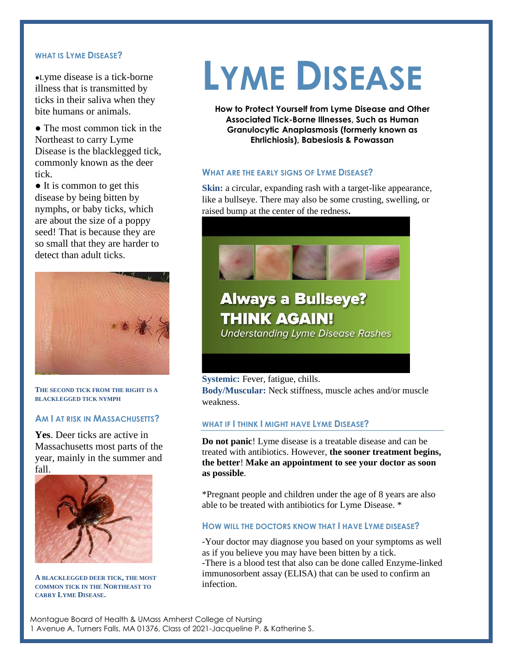### **WHAT IS LYME DISEASE?**

●Lyme disease is a tick-borne illness that is transmitted by ticks in their saliva when they bite humans or animals.

● The most common tick in the Northeast to carry Lyme Disease is the blacklegged tick, commonly known as the deer tick.

● It is common to get this disease by being bitten by nymphs, or baby ticks, which are about the size of a poppy seed! That is because they are so small that they are harder to detect than adult ticks.



**THE SECOND TICK FROM THE RIGHT IS A BLACKLEGGED TICK NYMPH**

## **AM I AT RISK IN MASSACHUSETTS?**

**Yes**. Deer ticks are active in Massachusetts most parts of the year, mainly in the summer and fall.



**A BLACKLEGGED DEER TICK, THE MOST COMMON TICK IN THE NORTHEAST TO CARRY LYME DISEASE.**

# **LYME DISEASE**

**How to Protect Yourself from Lyme Disease and Other Associated Tick-Borne Illnesses, Such as Human Granulocytic Anaplasmosis (formerly known as Ehrlichiosis), Babesiosis & Powassan**

#### **WHAT ARE THE EARLY SIGNS OF LYME DISEASE?**

**Skin:** a circular, expanding rash with a target-like appearance, like a bullseye. There may also be some crusting, swelling, or raised bump at the center of the redness**.** 



# **Always a Bullseye? THINK AGAIN!**

**Understanding Lyme Disease Rashes** 

#### **Systemic:** Fever, fatigue, chills.

**Body/Muscular:** Neck stiffness, muscle aches and/or muscle weakness.

#### **WHAT IF I THINK I MIGHT HAVE LYME DISEASE?**

**Do not panic**! Lyme disease is a treatable disease and can be treated with antibiotics. However, **the sooner treatment begins, the better**! **Make an appointment to see your doctor as soon as possible**.

\*Pregnant people and children under the age of 8 years are also able to be treated with antibiotics for Lyme Disease. \*

#### **HOW WILL THE DOCTORS KNOW THAT I HAVE LYME DISEASE?**

-Your doctor may diagnose you based on your symptoms as well as if you believe you may have been bitten by a tick. -There is a blood test that also can be done called Enzyme-linked immunosorbent assay (ELISA) that can be used to confirm an infection.

Montague Board of Health & UMass Amherst College of Nursing 1 Avenue A, Turners Falls, MA 01376, Class of 2021-Jacqueline P. & Katherine S.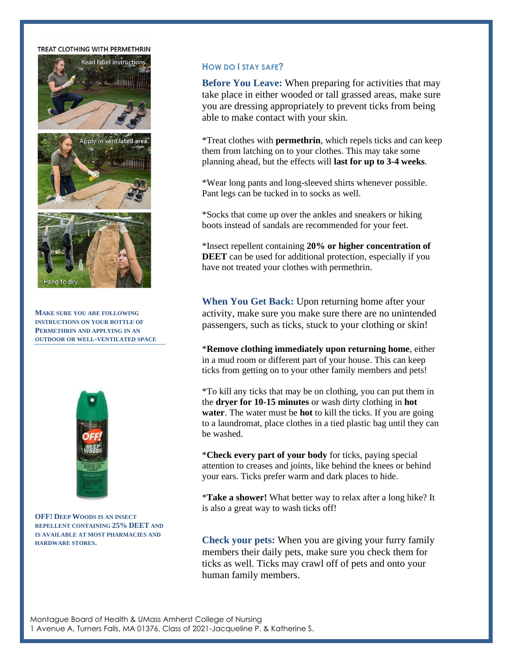#### **TREAT CLOTHING WITH PERMETHRIN**



**MAKE SURE YOU ARE FOLLOWING INSTRUCTIONS ON YOUR BOTTLE OF PERMETHRIN AND APPLYING IN AN OUTDOOR OR WELL-VENTILATED SPACE**



**OFF! DEEP WOODS IS AN INSECT REPELLENT CONTAINING 25% DEET AND IS AVAILABLE AT MOST PHARMACIES AND HARDWARE STORES.**

#### **HOW DO I STAY SAFE?**

**Before You Leave:** When preparing for activities that may take place in either wooded or tall grassed areas, make sure you are dressing appropriately to prevent ticks from being able to make contact with your skin.

\*Treat clothes with **permethrin**, which repels ticks and can keep them from latching on to your clothes. This may take some planning ahead, but the effects will **last for up to 3-4 weeks**.

\*Wear long pants and long-sleeved shirts whenever possible. Pant legs can be tucked in to socks as well.

\*Socks that come up over the ankles and sneakers or hiking boots instead of sandals are recommended for your feet.

\*Insect repellent containing **20% or higher concentration of DEET** can be used for additional protection, especially if you have not treated your clothes with permethrin.

**When You Get Back:** Upon returning home after your activity, make sure you make sure there are no unintended passengers, such as ticks, stuck to your clothing or skin!

\***Remove clothing immediately upon returning home**, either in a mud room or different part of your house. This can keep ticks from getting on to your other family members and pets!

\*To kill any ticks that may be on clothing, you can put them in the **dryer for 10-15 minutes** or wash dirty clothing in **hot water**. The water must be **hot** to kill the ticks. If you are going to a laundromat, place clothes in a tied plastic bag until they can be washed.

\***Check every part of your body** for ticks, paying special attention to creases and joints, like behind the knees or behind your ears. Ticks prefer warm and dark places to hide.

\***Take a shower!** What better way to relax after a long hike? It is also a great way to wash ticks off!

**Check your pets:** When you are giving your furry family members their daily pets, make sure you check them for ticks as well. Ticks may crawl off of pets and onto your human family members.